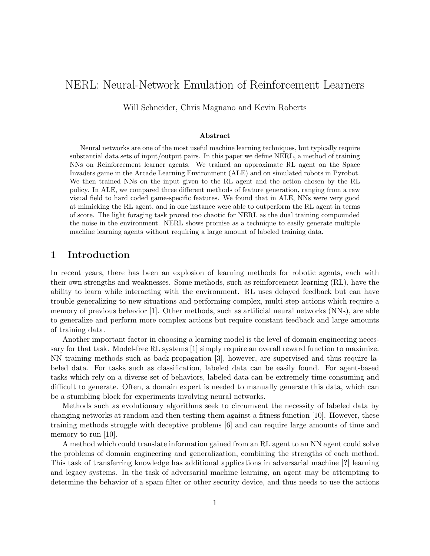# NERL: Neural-Network Emulation of Reinforcement Learners

Will Schneider, Chris Magnano and Kevin Roberts

#### Abstract

Neural networks are one of the most useful machine learning techniques, but typically require substantial data sets of input/output pairs. In this paper we define NERL, a method of training NNs on Reinforcement learner agents. We trained an approximate RL agent on the Space Invaders game in the Arcade Learning Environment (ALE) and on simulated robots in Pyrobot. We then trained NNs on the input given to the RL agent and the action chosen by the RL policy. In ALE, we compared three different methods of feature generation, ranging from a raw visual field to hard coded game-specific features. We found that in ALE, NNs were very good at mimicking the RL agent, and in one instance were able to outperform the RL agent in terms of score. The light foraging task proved too chaotic for NERL as the dual training compounded the noise in the environment. NERL shows promise as a technique to easily generate multiple machine learning agents without requiring a large amount of labeled training data.

## 1 Introduction

In recent years, there has been an explosion of learning methods for robotic agents, each with their own strengths and weaknesses. Some methods, such as reinforcement learning (RL), have the ability to learn while interacting with the environment. RL uses delayed feedback but can have trouble generalizing to new situations and performing complex, multi-step actions which require a memory of previous behavior [1]. Other methods, such as artificial neural networks (NNs), are able to generalize and perform more complex actions but require constant feedback and large amounts of training data.

Another important factor in choosing a learning model is the level of domain engineering necessary for that task. Model-free RL systems [1] simply require an overall reward function to maximize. NN training methods such as back-propagation [3], however, are supervised and thus require labeled data. For tasks such as classification, labeled data can be easily found. For agent-based tasks which rely on a diverse set of behaviors, labeled data can be extremely time-consuming and difficult to generate. Often, a domain expert is needed to manually generate this data, which can be a stumbling block for experiments involving neural networks.

Methods such as evolutionary algorithms seek to circumvent the necessity of labeled data by changing networks at random and then testing them against a fitness function [10]. However, these training methods struggle with deceptive problems [6] and can require large amounts of time and memory to run [10].

A method which could translate information gained from an RL agent to an NN agent could solve the problems of domain engineering and generalization, combining the strengths of each method. This task of transferring knowledge has additional applications in adversarial machine [?] learning and legacy systems. In the task of adversarial machine learning, an agent may be attempting to determine the behavior of a spam filter or other security device, and thus needs to use the actions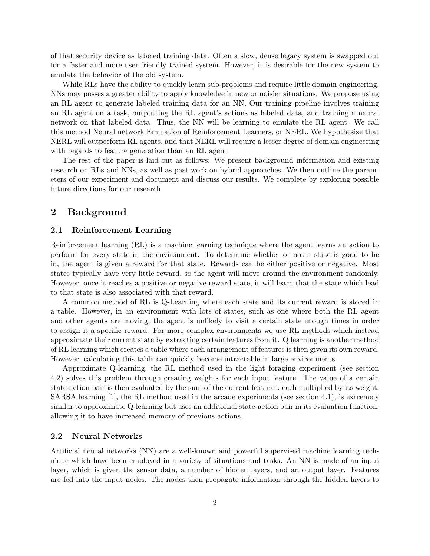of that security device as labeled training data. Often a slow, dense legacy system is swapped out for a faster and more user-friendly trained system. However, it is desirable for the new system to emulate the behavior of the old system.

While RLs have the ability to quickly learn sub-problems and require little domain engineering, NNs may posses a greater ability to apply knowledge in new or noisier situations. We propose using an RL agent to generate labeled training data for an NN. Our training pipeline involves training an RL agent on a task, outputting the RL agent's actions as labeled data, and training a neural network on that labeled data. Thus, the NN will be learning to emulate the RL agent. We call this method Neural network Emulation of Reinforcement Learners, or NERL. We hypothesize that NERL will outperform RL agents, and that NERL will require a lesser degree of domain engineering with regards to feature generation than an RL agent.

The rest of the paper is laid out as follows: We present background information and existing research on RLs and NNs, as well as past work on hybrid approaches. We then outline the parameters of our experiment and document and discuss our results. We complete by exploring possible future directions for our research.

## 2 Background

#### 2.1 Reinforcement Learning

Reinforcement learning (RL) is a machine learning technique where the agent learns an action to perform for every state in the environment. To determine whether or not a state is good to be in, the agent is given a reward for that state. Rewards can be either positive or negative. Most states typically have very little reward, so the agent will move around the environment randomly. However, once it reaches a positive or negative reward state, it will learn that the state which lead to that state is also associated with that reward.

A common method of RL is Q-Learning where each state and its current reward is stored in a table. However, in an environment with lots of states, such as one where both the RL agent and other agents are moving, the agent is unlikely to visit a certain state enough times in order to assign it a specific reward. For more complex environments we use RL methods which instead approximate their current state by extracting certain features from it. Q learning is another method of RL learning which creates a table where each arrangement of features is then given its own reward. However, calculating this table can quickly become intractable in large environments.

Approximate Q-learning, the RL method used in the light foraging experiment (see section 4.2) solves this problem through creating weights for each input feature. The value of a certain state-action pair is then evaluated by the sum of the current features, each multiplied by its weight. SARSA learning [1], the RL method used in the arcade experiments (see section 4.1), is extremely similar to approximate Q-learning but uses an additional state-action pair in its evaluation function, allowing it to have increased memory of previous actions.

## 2.2 Neural Networks

Artificial neural networks (NN) are a well-known and powerful supervised machine learning technique which have been employed in a variety of situations and tasks. An NN is made of an input layer, which is given the sensor data, a number of hidden layers, and an output layer. Features are fed into the input nodes. The nodes then propagate information through the hidden layers to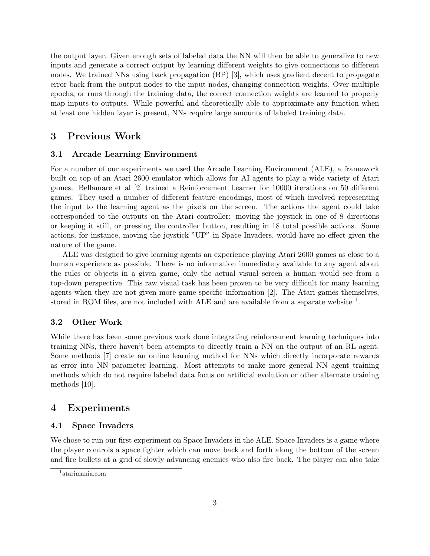the output layer. Given enough sets of labeled data the NN will then be able to generalize to new inputs and generate a correct output by learning different weights to give connections to different nodes. We trained NNs using back propagation (BP) [3], which uses gradient decent to propagate error back from the output nodes to the input nodes, changing connection weights. Over multiple epochs, or runs through the training data, the correct connection weights are learned to properly map inputs to outputs. While powerful and theoretically able to approximate any function when at least one hidden layer is present, NNs require large amounts of labeled training data.

## 3 Previous Work

### 3.1 Arcade Learning Environment

For a number of our experiments we used the Arcade Learning Environment (ALE), a framework built on top of an Atari 2600 emulator which allows for AI agents to play a wide variety of Atari games. Bellamare et al [2] trained a Reinforcement Learner for 10000 iterations on 50 different games. They used a number of different feature encodings, most of which involved representing the input to the learning agent as the pixels on the screen. The actions the agent could take corresponded to the outputs on the Atari controller: moving the joystick in one of 8 directions or keeping it still, or pressing the controller button, resulting in 18 total possible actions. Some actions, for instance, moving the joystick "UP" in Space Invaders, would have no effect given the nature of the game.

ALE was designed to give learning agents an experience playing Atari 2600 games as close to a human experience as possible. There is no information immediately available to any agent about the rules or objects in a given game, only the actual visual screen a human would see from a top-down perspective. This raw visual task has been proven to be very difficult for many learning agents when they are not given more game-specific information [2]. The Atari games themselves, stored in ROM files, are not included with ALE and are available from a separate website  $<sup>1</sup>$ .</sup>

## 3.2 Other Work

While there has been some previous work done integrating reinforcement learning techniques into training NNs, there haven't been attempts to directly train a NN on the output of an RL agent. Some methods [7] create an online learning method for NNs which directly incorporate rewards as error into NN parameter learning. Most attempts to make more general NN agent training methods which do not require labeled data focus on artificial evolution or other alternate training methods [10].

## 4 Experiments

#### 4.1 Space Invaders

We chose to run our first experiment on Space Invaders in the ALE. Space Invaders is a game where the player controls a space fighter which can move back and forth along the bottom of the screen and fire bullets at a grid of slowly advancing enemies who also fire back. The player can also take

<sup>1</sup> atarimania.com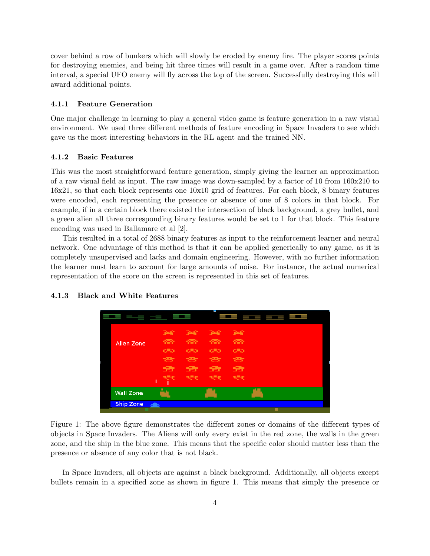cover behind a row of bunkers which will slowly be eroded by enemy fire. The player scores points for destroying enemies, and being hit three times will result in a game over. After a random time interval, a special UFO enemy will fly across the top of the screen. Successfully destroying this will award additional points.

#### 4.1.1 Feature Generation

One major challenge in learning to play a general video game is feature generation in a raw visual environment. We used three different methods of feature encoding in Space Invaders to see which gave us the most interesting behaviors in the RL agent and the trained NN.

#### 4.1.2 Basic Features

This was the most straightforward feature generation, simply giving the learner an approximation of a raw visual field as input. The raw image was down-sampled by a factor of 10 from 160x210 to 16x21, so that each block represents one 10x10 grid of features. For each block, 8 binary features were encoded, each representing the presence or absence of one of 8 colors in that block. For example, if in a certain block there existed the intersection of black background, a grey bullet, and a green alien all three corresponding binary features would be set to 1 for that block. This feature encoding was used in Ballamare et al [2].

This resulted in a total of 2688 binary features as input to the reinforcement learner and neural network. One advantage of this method is that it can be applied generically to any game, as it is completely unsupervised and lacks and domain engineering. However, with no further information the learner must learn to account for large amounts of noise. For instance, the actual numerical representation of the score on the screen is represented in this set of features.



#### 4.1.3 Black and White Features

Figure 1: The above figure demonstrates the different zones or domains of the different types of objects in Space Invaders. The Aliens will only every exist in the red zone, the walls in the green zone, and the ship in the blue zone. This means that the specific color should matter less than the presence or absence of any color that is not black.

In Space Invaders, all objects are against a black background. Additionally, all objects except bullets remain in a specified zone as shown in figure 1. This means that simply the presence or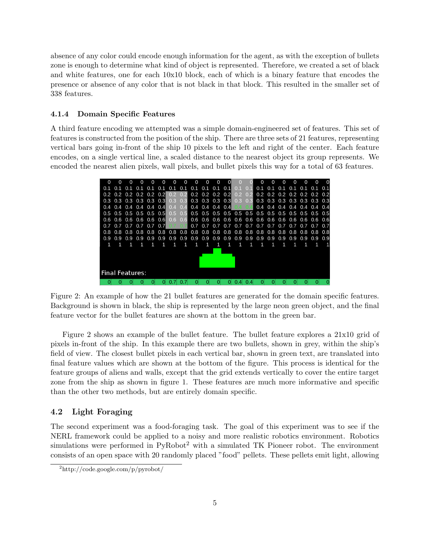absence of any color could encode enough information for the agent, as with the exception of bullets zone is enough to determine what kind of object is represented. Therefore, we created a set of black and white features, one for each 10x10 block, each of which is a binary feature that encodes the presence or absence of any color that is not black in that block. This resulted in the smaller set of 338 features.

#### 4.1.4 Domain Specific Features

A third feature encoding we attempted was a simple domain-engineered set of features. This set of features is constructed from the position of the ship. There are three sets of 21 features, representing vertical bars going in-front of the ship 10 pixels to the left and right of the center. Each feature encodes, on a single vertical line, a scaled distance to the nearest object its group represents. We encoded the nearest alien pixels, wall pixels, and bullet pixels this way for a total of 63 features.

|                        | O   |                           |     |            |                | O   | O           | $\Omega$ | $\Omega$                                | O   | $\Omega$                |     |     |                |                             | ∩   |                   |                               |     |         |     |
|------------------------|-----|---------------------------|-----|------------|----------------|-----|-------------|----------|-----------------------------------------|-----|-------------------------|-----|-----|----------------|-----------------------------|-----|-------------------|-------------------------------|-----|---------|-----|
|                        | 0.1 | 0.1                       | 0.1 | $\Omega$ 1 | 0.1            | 0.1 | $\Omega$ 1  | 0.1      | 0.1                                     |     | $0.1$ 0.1 0.1           |     |     | 0 <sup>1</sup> | 0.1                         |     | $0.1$ $0.1$ $0.1$ |                               | 0.1 | 0.1     | 0.1 |
|                        |     | $0.2$ 0.2 0.2 0.2 0.2 0.2 |     |            |                |     | 0.2 0.2     |          |                                         |     | $0.2$ $0.2$ $0.2$ $0.2$ |     | 0.2 | 0.2            |                             |     |                   | $0.2$ 0.2 0.2 0.2 0.2 0.2 0.2 |     |         |     |
|                        | 0.3 | $0.3 \quad 0.3$           |     |            | $0.3$ 0.3 0.3  |     | 0.3         | 0.3      | $0.3$ 0.3 0.3 0.3                       |     |                         |     | 0.3 | 0.3            |                             |     |                   | $0.3$ 0.3 0.3 0.3 0.3 0.3 0.3 |     |         |     |
|                        | 0.4 |                           |     |            | 04 04 04 04 04 |     | 04 04       |          | $0.4$ 0.4 0.4 0.4                       |     |                         |     |     |                |                             |     |                   | 0.4 0.4 0.4 0.4 0.4 0.4 0.4   |     |         |     |
|                        | 0.5 | $0.5$ 0.5 0.5 0.5 0.5     |     |            |                |     | 0.5         | 0.5      |                                         |     |                         |     |     |                |                             |     |                   |                               |     |         |     |
|                        |     | 0.6 0.6 0.6 0.6 0.6 0.6   |     |            |                |     | $0.6$ $0.6$ |          |                                         |     |                         |     |     |                |                             |     |                   |                               |     |         |     |
|                        |     | 0.7 0.7 0.7 0.7 0.7 0.7   |     |            |                |     |             |          | $0.7 \quad 0.7$                         |     | 0.7                     | 0.7 |     |                | 0.7 0.7 0.7 0.7 0.7 0.7 0.7 |     |                   |                               |     | 0.7 0.7 |     |
|                        |     | 0.8                       | 0.8 | 0.8        | 0.8            | 0.8 | 0.8         | 0.8      | 0.8 0.8 0.8 0.8 0.8 0.8 0.8 0.8 0.8 0.8 |     |                         |     |     |                |                             |     |                   |                               |     | 0.8 0.8 |     |
|                        |     | 0.9                       | 0.9 | 0.9        | 0.9            | 0.9 | 0.9         | 0.9      | 0.9                                     | 0.9 | 0.9                     | 0.9 | 0.9 | 0.9            | 0.9                         | 0.9 | 0.9               | 0.9                           | 0.9 | 0.9     | 0.9 |
|                        |     |                           |     |            |                |     |             |          |                                         |     |                         |     |     |                |                             |     |                   |                               |     |         |     |
|                        |     |                           |     |            |                |     |             |          |                                         |     |                         |     |     |                |                             |     |                   |                               |     |         |     |
| <b>Final Features:</b> |     |                           |     |            |                |     |             |          |                                         |     |                         |     |     |                |                             |     |                   |                               |     |         |     |
|                        |     |                           |     |            |                |     |             |          |                                         |     |                         |     |     |                |                             |     |                   |                               |     |         |     |
|                        |     |                           |     |            |                |     |             |          |                                         |     |                         |     |     |                |                             |     |                   |                               |     |         |     |

Figure 2: An example of how the 21 bullet features are generated for the domain specific features. Background is shown in black, the ship is represented by the large neon green object, and the final feature vector for the bullet features are shown at the bottom in the green bar.

Figure 2 shows an example of the bullet feature. The bullet feature explores a 21x10 grid of pixels in-front of the ship. In this example there are two bullets, shown in grey, within the ship's field of view. The closest bullet pixels in each vertical bar, shown in green text, are translated into final feature values which are shown at the bottom of the figure. This process is identical for the feature groups of aliens and walls, except that the grid extends vertically to cover the entire target zone from the ship as shown in figure 1. These features are much more informative and specific than the other two methods, but are entirely domain specific.

#### 4.2 Light Foraging

The second experiment was a food-foraging task. The goal of this experiment was to see if the NERL framework could be applied to a noisy and more realistic robotics environment. Robotics simulations were performed in  $PyRoot<sup>2</sup>$  with a simulated TK Pioneer robot. The environment consists of an open space with 20 randomly placed "food" pellets. These pellets emit light, allowing

<sup>2</sup>http://code.google.com/p/pyrobot/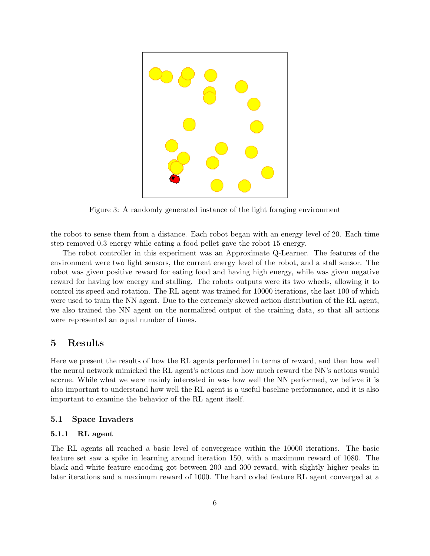

Figure 3: A randomly generated instance of the light foraging environment

the robot to sense them from a distance. Each robot began with an energy level of 20. Each time step removed 0.3 energy while eating a food pellet gave the robot 15 energy.

The robot controller in this experiment was an Approximate Q-Learner. The features of the environment were two light sensors, the current energy level of the robot, and a stall sensor. The robot was given positive reward for eating food and having high energy, while was given negative reward for having low energy and stalling. The robots outputs were its two wheels, allowing it to control its speed and rotation. The RL agent was trained for 10000 iterations, the last 100 of which were used to train the NN agent. Due to the extremely skewed action distribution of the RL agent, we also trained the NN agent on the normalized output of the training data, so that all actions were represented an equal number of times.

## 5 Results

Here we present the results of how the RL agents performed in terms of reward, and then how well the neural network mimicked the RL agent's actions and how much reward the NN's actions would accrue. While what we were mainly interested in was how well the NN performed, we believe it is also important to understand how well the RL agent is a useful baseline performance, and it is also important to examine the behavior of the RL agent itself.

### 5.1 Space Invaders

### 5.1.1 RL agent

The RL agents all reached a basic level of convergence within the 10000 iterations. The basic feature set saw a spike in learning around iteration 150, with a maximum reward of 1080. The black and white feature encoding got between 200 and 300 reward, with slightly higher peaks in later iterations and a maximum reward of 1000. The hard coded feature RL agent converged at a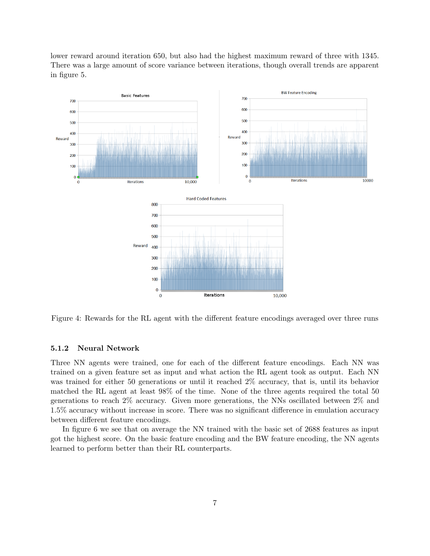lower reward around iteration 650, but also had the highest maximum reward of three with 1345. There was a large amount of score variance between iterations, though overall trends are apparent in figure 5.



Figure 4: Rewards for the RL agent with the different feature encodings averaged over three runs

#### 5.1.2 Neural Network

Three NN agents were trained, one for each of the different feature encodings. Each NN was trained on a given feature set as input and what action the RL agent took as output. Each NN was trained for either 50 generations or until it reached 2% accuracy, that is, until its behavior matched the RL agent at least 98% of the time. None of the three agents required the total 50 generations to reach 2% accuracy. Given more generations, the NNs oscillated between 2% and 1.5% accuracy without increase in score. There was no significant difference in emulation accuracy between different feature encodings.

In figure 6 we see that on average the NN trained with the basic set of 2688 features as input got the highest score. On the basic feature encoding and the BW feature encoding, the NN agents learned to perform better than their RL counterparts.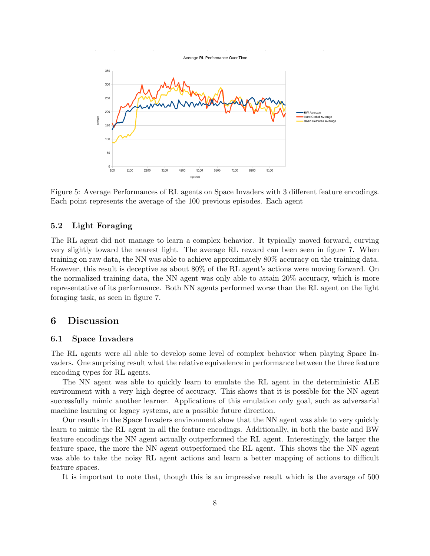

Figure 5: Average Performances of RL agents on Space Invaders with 3 different feature encodings. Each point represents the average of the 100 previous episodes. Each agent

### 5.2 Light Foraging

The RL agent did not manage to learn a complex behavior. It typically moved forward, curving very slightly toward the nearest light. The average RL reward can been seen in figure 7. When training on raw data, the NN was able to achieve approximately 80% accuracy on the training data. However, this result is deceptive as about 80% of the RL agent's actions were moving forward. On the normalized training data, the NN agent was only able to attain 20% accuracy, which is more representative of its performance. Both NN agents performed worse than the RL agent on the light foraging task, as seen in figure 7.

## 6 Discussion

### 6.1 Space Invaders

The RL agents were all able to develop some level of complex behavior when playing Space Invaders. One surprising result what the relative equivalence in performance between the three feature encoding types for RL agents.

The NN agent was able to quickly learn to emulate the RL agent in the deterministic ALE environment with a very high degree of accuracy. This shows that it is possible for the NN agent successfully mimic another learner. Applications of this emulation only goal, such as adversarial machine learning or legacy systems, are a possible future direction.

Our results in the Space Invaders environment show that the NN agent was able to very quickly learn to mimic the RL agent in all the feature encodings. Additionally, in both the basic and BW feature encodings the NN agent actually outperformed the RL agent. Interestingly, the larger the feature space, the more the NN agent outperformed the RL agent. This shows the the NN agent was able to take the noisy RL agent actions and learn a better mapping of actions to difficult feature spaces.

It is important to note that, though this is an impressive result which is the average of 500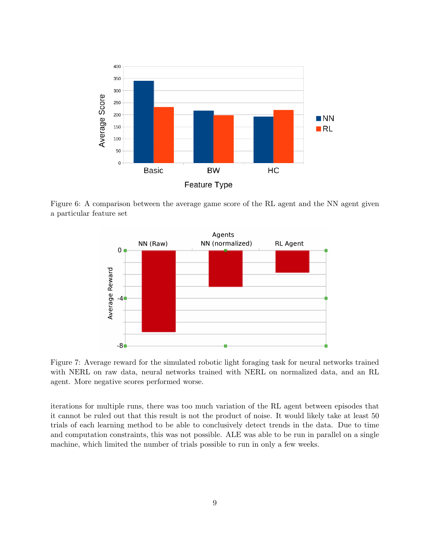

Figure 6: A comparison between the average game score of the RL agent and the NN agent given a particular feature set



Figure 7: Average reward for the simulated robotic light foraging task for neural networks trained with NERL on raw data, neural networks trained with NERL on normalized data, and an RL agent. More negative scores performed worse.

iterations for multiple runs, there was too much variation of the RL agent between episodes that it cannot be ruled out that this result is not the product of noise. It would likely take at least 50 trials of each learning method to be able to conclusively detect trends in the data. Due to time and computation constraints, this was not possible. ALE was able to be run in parallel on a single machine, which limited the number of trials possible to run in only a few weeks.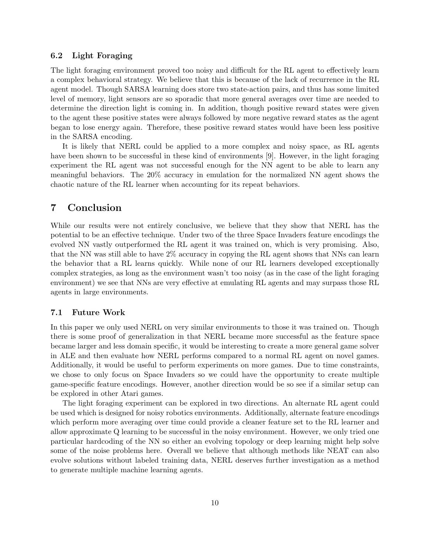### 6.2 Light Foraging

The light foraging environment proved too noisy and difficult for the RL agent to effectively learn a complex behavioral strategy. We believe that this is because of the lack of recurrence in the RL agent model. Though SARSA learning does store two state-action pairs, and thus has some limited level of memory, light sensors are so sporadic that more general averages over time are needed to determine the direction light is coming in. In addition, though positive reward states were given to the agent these positive states were always followed by more negative reward states as the agent began to lose energy again. Therefore, these positive reward states would have been less positive in the SARSA encoding.

It is likely that NERL could be applied to a more complex and noisy space, as RL agents have been shown to be successful in these kind of environments [9]. However, in the light foraging experiment the RL agent was not successful enough for the NN agent to be able to learn any meaningful behaviors. The 20% accuracy in emulation for the normalized NN agent shows the chaotic nature of the RL learner when accounting for its repeat behaviors.

## 7 Conclusion

While our results were not entirely conclusive, we believe that they show that NERL has the potential to be an effective technique. Under two of the three Space Invaders feature encodings the evolved NN vastly outperformed the RL agent it was trained on, which is very promising. Also, that the NN was still able to have 2% accuracy in copying the RL agent shows that NNs can learn the behavior that a RL learns quickly. While none of our RL learners developed exceptionally complex strategies, as long as the environment wasn't too noisy (as in the case of the light foraging environment) we see that NNs are very effective at emulating RL agents and may surpass those RL agents in large environments.

#### 7.1 Future Work

In this paper we only used NERL on very similar environments to those it was trained on. Though there is some proof of generalization in that NERL became more successful as the feature space became larger and less domain specific, it would be interesting to create a more general game solver in ALE and then evaluate how NERL performs compared to a normal RL agent on novel games. Additionally, it would be useful to perform experiments on more games. Due to time constraints, we chose to only focus on Space Invaders so we could have the opportunity to create multiple game-specific feature encodings. However, another direction would be so see if a similar setup can be explored in other Atari games.

The light foraging experiment can be explored in two directions. An alternate RL agent could be used which is designed for noisy robotics environments. Additionally, alternate feature encodings which perform more averaging over time could provide a cleaner feature set to the RL learner and allow approximate Q learning to be successful in the noisy environment. However, we only tried one particular hardcoding of the NN so either an evolving topology or deep learning might help solve some of the noise problems here. Overall we believe that although methods like NEAT can also evolve solutions without labeled training data, NERL deserves further investigation as a method to generate multiple machine learning agents.